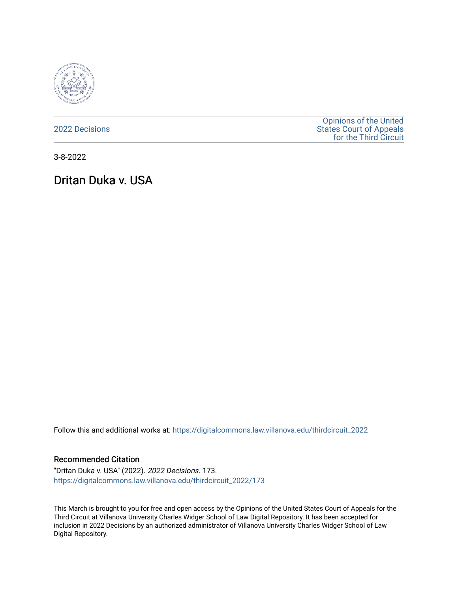

[2022 Decisions](https://digitalcommons.law.villanova.edu/thirdcircuit_2022)

[Opinions of the United](https://digitalcommons.law.villanova.edu/thirdcircuit)  [States Court of Appeals](https://digitalcommons.law.villanova.edu/thirdcircuit)  [for the Third Circuit](https://digitalcommons.law.villanova.edu/thirdcircuit) 

3-8-2022

Dritan Duka v. USA

Follow this and additional works at: [https://digitalcommons.law.villanova.edu/thirdcircuit\\_2022](https://digitalcommons.law.villanova.edu/thirdcircuit_2022?utm_source=digitalcommons.law.villanova.edu%2Fthirdcircuit_2022%2F173&utm_medium=PDF&utm_campaign=PDFCoverPages) 

### Recommended Citation

"Dritan Duka v. USA" (2022). 2022 Decisions. 173. [https://digitalcommons.law.villanova.edu/thirdcircuit\\_2022/173](https://digitalcommons.law.villanova.edu/thirdcircuit_2022/173?utm_source=digitalcommons.law.villanova.edu%2Fthirdcircuit_2022%2F173&utm_medium=PDF&utm_campaign=PDFCoverPages)

This March is brought to you for free and open access by the Opinions of the United States Court of Appeals for the Third Circuit at Villanova University Charles Widger School of Law Digital Repository. It has been accepted for inclusion in 2022 Decisions by an authorized administrator of Villanova University Charles Widger School of Law Digital Repository.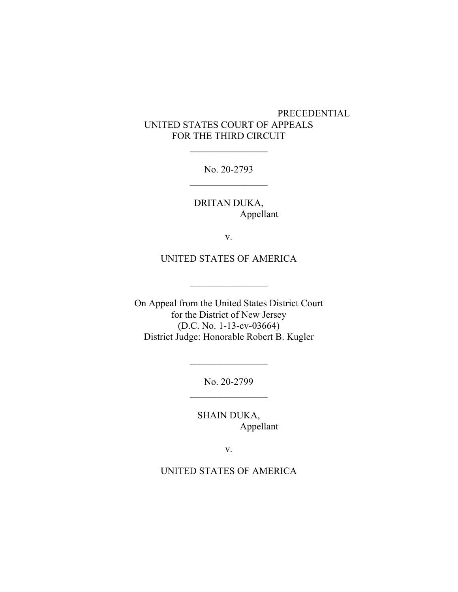# PRECEDENTIAL UNITED STATES COURT OF APPEALS FOR THE THIRD CIRCUIT

No. 20-2793  $\frac{1}{2}$ 

 $\frac{1}{2}$ 

DRITAN DUKA, Appellant

v.

UNITED STATES OF AMERICA

 $\overline{\phantom{a}}$  , where  $\overline{\phantom{a}}$ 

On Appeal from the United States District Court for the District of New Jersey (D.C. No. 1-13-cv-03664) District Judge: Honorable Robert B. Kugler

> No. 20-2799  $\frac{1}{2}$

> $\overline{\phantom{a}}$  , where  $\overline{\phantom{a}}$

SHAIN DUKA, Appellant

v.

### UNITED STATES OF AMERICA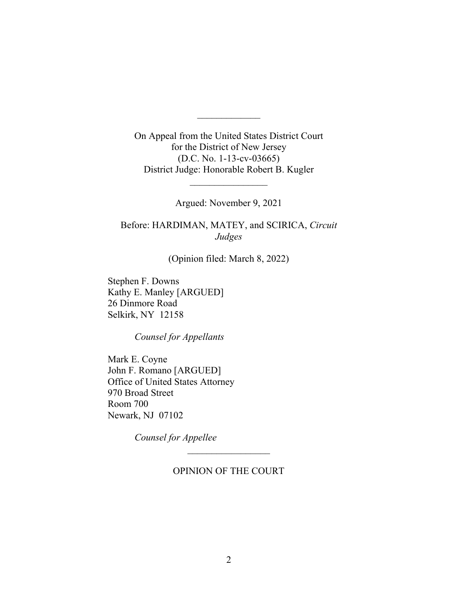On Appeal from the United States District Court for the District of New Jersey (D.C. No. 1-13-cv-03665) District Judge: Honorable Robert B. Kugler

 $\frac{1}{2}$ 

Argued: November 9, 2021

 $\frac{1}{2}$ 

Before: HARDIMAN, MATEY, and SCIRICA, *Circuit Judges*

(Opinion filed: March 8, 2022)

Stephen F. Downs Kathy E. Manley [ARGUED] 26 Dinmore Road Selkirk, NY 12158

*Counsel for Appellants*

Mark E. Coyne John F. Romano [ARGUED] Office of United States Attorney 970 Broad Street Room 700 Newark, NJ 07102

*Counsel for Appellee*

OPINION OF THE COURT

 $\overline{\phantom{a}}$  , where  $\overline{\phantom{a}}$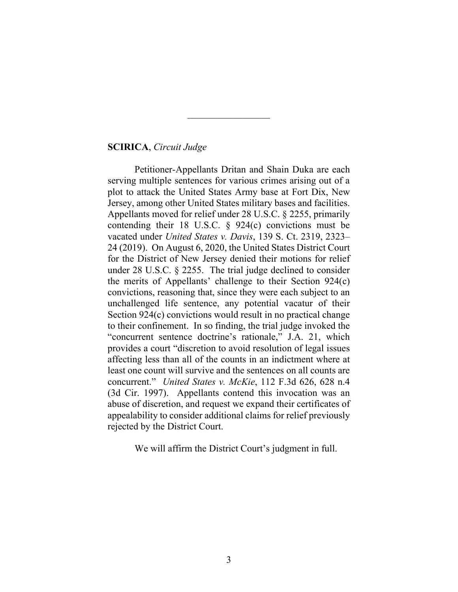### **SCIRICA**, *Circuit Judge*

Petitioner-Appellants Dritan and Shain Duka are each serving multiple sentences for various crimes arising out of a plot to attack the United States Army base at Fort Dix, New Jersey, among other United States military bases and facilities. Appellants moved for relief under 28 U.S.C. § 2255, primarily contending their 18 U.S.C.  $\S$  924(c) convictions must be vacated under *United States v. Davis*, 139 S. Ct. 2319, 2323– 24 (2019). On August 6, 2020, the United States District Court for the District of New Jersey denied their motions for relief under 28 U.S.C. § 2255. The trial judge declined to consider the merits of Appellants' challenge to their Section 924(c) convictions, reasoning that, since they were each subject to an unchallenged life sentence, any potential vacatur of their Section 924(c) convictions would result in no practical change to their confinement. In so finding, the trial judge invoked the "concurrent sentence doctrine's rationale," J.A. 21, which provides a court "discretion to avoid resolution of legal issues affecting less than all of the counts in an indictment where at least one count will survive and the sentences on all counts are concurrent." *United States v. McKie*, 112 F.3d 626, 628 n.4 (3d Cir. 1997). Appellants contend this invocation was an abuse of discretion, and request we expand their certificates of appealability to consider additional claims for relief previously rejected by the District Court.

 $\frac{1}{2}$ 

We will affirm the District Court's judgment in full.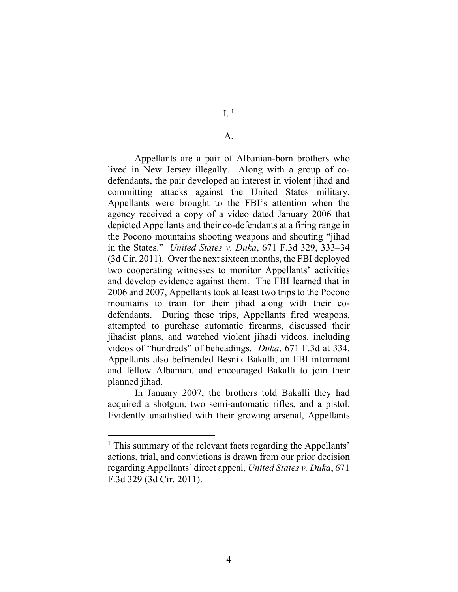#### A.

Appellants are a pair of Albanian-born brothers who lived in New Jersey illegally. Along with a group of codefendants, the pair developed an interest in violent jihad and committing attacks against the United States military. Appellants were brought to the FBI's attention when the agency received a copy of a video dated January 2006 that depicted Appellants and their co-defendants at a firing range in the Pocono mountains shooting weapons and shouting "jihad in the States." *United States v. Duka*, 671 F.3d 329, 333–34 (3d Cir. 2011). Over the next sixteen months, the FBI deployed two cooperating witnesses to monitor Appellants' activities and develop evidence against them. The FBI learned that in 2006 and 2007, Appellants took at least two trips to the Pocono mountains to train for their jihad along with their codefendants. During these trips, Appellants fired weapons, attempted to purchase automatic firearms, discussed their jihadist plans, and watched violent jihadi videos, including videos of "hundreds" of beheadings. *Duka*, 671 F.3d at 334. Appellants also befriended Besnik Bakalli, an FBI informant and fellow Albanian, and encouraged Bakalli to join their planned jihad.

In January 2007, the brothers told Bakalli they had acquired a shotgun, two semi-automatic rifles, and a pistol. Evidently unsatisfied with their growing arsenal, Appellants

<sup>&</sup>lt;sup>1</sup> This summary of the relevant facts regarding the Appellants' actions, trial, and convictions is drawn from our prior decision regarding Appellants' direct appeal, *United States v. Duka*, 671 F.3d 329 (3d Cir. 2011).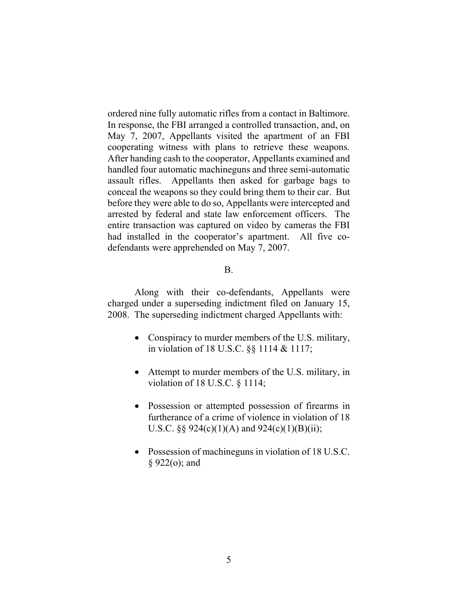ordered nine fully automatic rifles from a contact in Baltimore. In response, the FBI arranged a controlled transaction, and, on May 7, 2007, Appellants visited the apartment of an FBI cooperating witness with plans to retrieve these weapons. After handing cash to the cooperator, Appellants examined and handled four automatic machineguns and three semi-automatic assault rifles. Appellants then asked for garbage bags to conceal the weapons so they could bring them to their car. But before they were able to do so, Appellants were intercepted and arrested by federal and state law enforcement officers. The entire transaction was captured on video by cameras the FBI had installed in the cooperator's apartment. All five codefendants were apprehended on May 7, 2007.

# B.

Along with their co-defendants, Appellants were charged under a superseding indictment filed on January 15, 2008. The superseding indictment charged Appellants with:

- Conspiracy to murder members of the U.S. military, in violation of 18 U.S.C. §§ 1114 & 1117;
- Attempt to murder members of the U.S. military, in violation of 18 U.S.C. § 1114;
- Possession or attempted possession of firearms in furtherance of a crime of violence in violation of 18 U.S.C. §§  $924(c)(1)(A)$  and  $924(c)(1)(B)(ii);$
- Possession of machineguns in violation of 18 U.S.C. § 922(o); and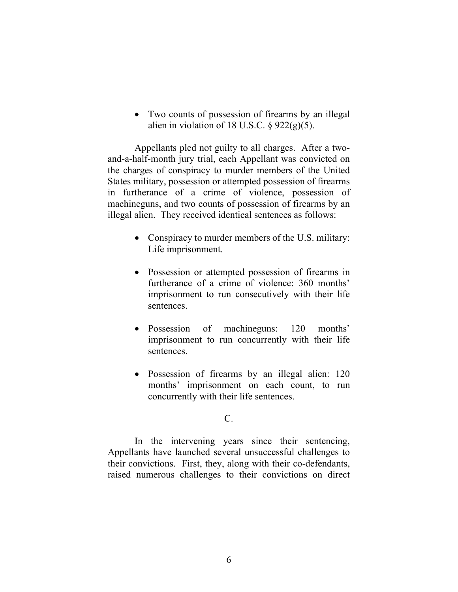• Two counts of possession of firearms by an illegal alien in violation of 18 U.S.C.  $\S$  922(g)(5).

Appellants pled not guilty to all charges. After a twoand-a-half-month jury trial, each Appellant was convicted on the charges of conspiracy to murder members of the United States military, possession or attempted possession of firearms in furtherance of a crime of violence, possession of machineguns, and two counts of possession of firearms by an illegal alien. They received identical sentences as follows:

- Conspiracy to murder members of the U.S. military: Life imprisonment.
- Possession or attempted possession of firearms in furtherance of a crime of violence: 360 months' imprisonment to run consecutively with their life sentences.
- Possession of machineguns: 120 months' imprisonment to run concurrently with their life sentences.
- Possession of firearms by an illegal alien: 120 months' imprisonment on each count, to run concurrently with their life sentences.

### $C_{\cdot}$

In the intervening years since their sentencing, Appellants have launched several unsuccessful challenges to their convictions. First, they, along with their co-defendants, raised numerous challenges to their convictions on direct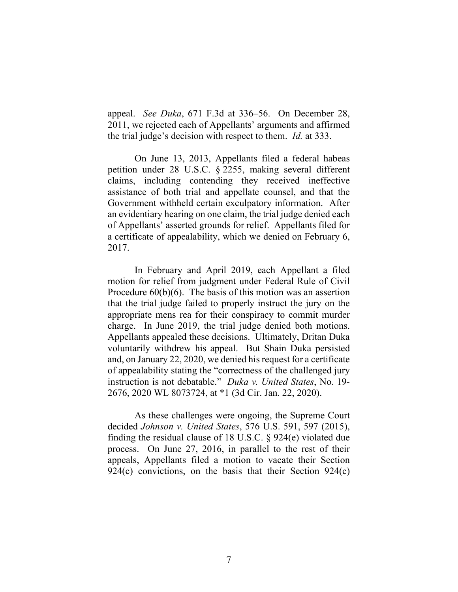appeal. *See Duka*, 671 F.3d at 336–56. On December 28, 2011, we rejected each of Appellants' arguments and affirmed the trial judge's decision with respect to them. *Id.* at 333.

On June 13, 2013, Appellants filed a federal habeas petition under 28 U.S.C. § 2255, making several different claims, including contending they received ineffective assistance of both trial and appellate counsel, and that the Government withheld certain exculpatory information. After an evidentiary hearing on one claim, the trial judge denied each of Appellants' asserted grounds for relief. Appellants filed for a certificate of appealability, which we denied on February 6, 2017.

In February and April 2019, each Appellant a filed motion for relief from judgment under Federal Rule of Civil Procedure  $60(b)(6)$ . The basis of this motion was an assertion that the trial judge failed to properly instruct the jury on the appropriate mens rea for their conspiracy to commit murder charge. In June 2019, the trial judge denied both motions. Appellants appealed these decisions. Ultimately, Dritan Duka voluntarily withdrew his appeal. But Shain Duka persisted and, on January 22, 2020, we denied his request for a certificate of appealability stating the "correctness of the challenged jury instruction is not debatable." *Duka v. United States*, No. 19- 2676, 2020 WL 8073724, at \*1 (3d Cir. Jan. 22, 2020).

As these challenges were ongoing, the Supreme Court decided *Johnson v. United States*, 576 U.S. 591, 597 (2015), finding the residual clause of 18 U.S.C. § 924(e) violated due process. On June 27, 2016, in parallel to the rest of their appeals, Appellants filed a motion to vacate their Section 924(c) convictions, on the basis that their Section 924(c)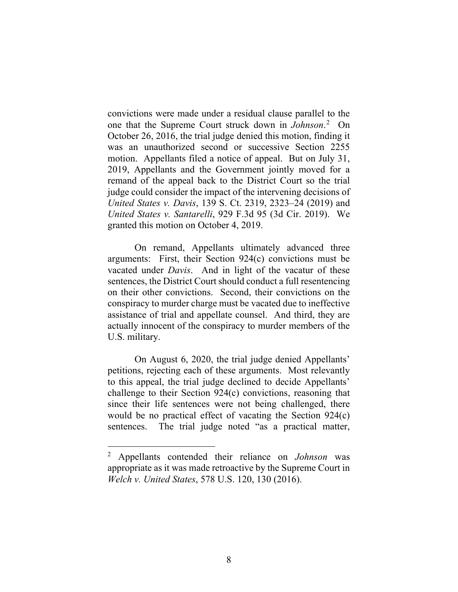convictions were made under a residual clause parallel to the one that the Supreme Court struck down in *Johnson*. 2 On October 26, 2016, the trial judge denied this motion, finding it was an unauthorized second or successive Section 2255 motion. Appellants filed a notice of appeal. But on July 31, 2019, Appellants and the Government jointly moved for a remand of the appeal back to the District Court so the trial judge could consider the impact of the intervening decisions of *United States v. Davis*, 139 S. Ct. 2319, 2323–24 (2019) and *United States v. Santarelli*, 929 F.3d 95 (3d Cir. 2019). We granted this motion on October 4, 2019.

On remand, Appellants ultimately advanced three arguments: First, their Section 924(c) convictions must be vacated under *Davis*. And in light of the vacatur of these sentences, the District Court should conduct a full resentencing on their other convictions. Second, their convictions on the conspiracy to murder charge must be vacated due to ineffective assistance of trial and appellate counsel. And third, they are actually innocent of the conspiracy to murder members of the U.S. military.

On August 6, 2020, the trial judge denied Appellants' petitions, rejecting each of these arguments. Most relevantly to this appeal, the trial judge declined to decide Appellants' challenge to their Section 924(c) convictions, reasoning that since their life sentences were not being challenged, there would be no practical effect of vacating the Section 924(c) sentences. The trial judge noted "as a practical matter,

<sup>2</sup> Appellants contended their reliance on *Johnson* was appropriate as it was made retroactive by the Supreme Court in *Welch v. United States*, 578 U.S. 120, 130 (2016).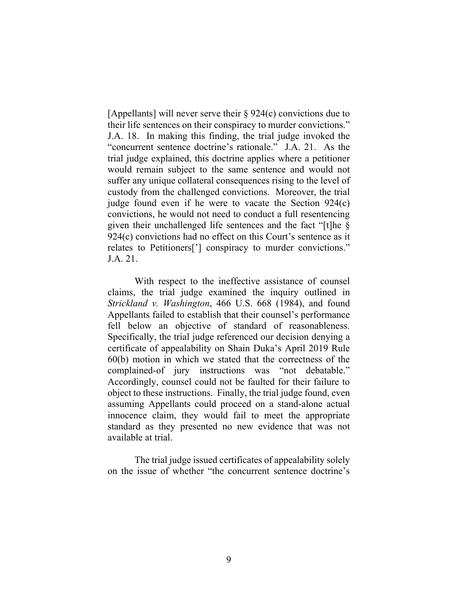[Appellants] will never serve their § 924(c) convictions due to their life sentences on their conspiracy to murder convictions." J.A. 18. In making this finding, the trial judge invoked the "concurrent sentence doctrine's rationale." J.A. 21.As the trial judge explained, this doctrine applies where a petitioner would remain subject to the same sentence and would not suffer any unique collateral consequences rising to the level of custody from the challenged convictions. Moreover, the trial judge found even if he were to vacate the Section 924(c) convictions, he would not need to conduct a full resentencing given their unchallenged life sentences and the fact "[t]he § 924(c) convictions had no effect on this Court's sentence as it relates to Petitioners['] conspiracy to murder convictions." J.A. 21.

With respect to the ineffective assistance of counsel claims, the trial judge examined the inquiry outlined in *Strickland v. Washington*, 466 U.S. 668 (1984), and found Appellants failed to establish that their counsel's performance fell below an objective of standard of reasonableness. Specifically, the trial judge referenced our decision denying a certificate of appealability on Shain Duka's April 2019 Rule 60(b) motion in which we stated that the correctness of the complained-of jury instructions was "not debatable." Accordingly, counsel could not be faulted for their failure to object to these instructions. Finally, the trial judge found, even assuming Appellants could proceed on a stand-alone actual innocence claim, they would fail to meet the appropriate standard as they presented no new evidence that was not available at trial.

The trial judge issued certificates of appealability solely on the issue of whether "the concurrent sentence doctrine's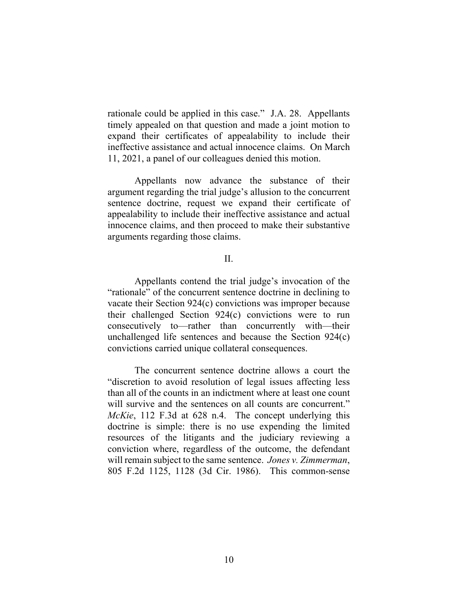rationale could be applied in this case." J.A. 28.Appellants timely appealed on that question and made a joint motion to expand their certificates of appealability to include their ineffective assistance and actual innocence claims. On March 11, 2021, a panel of our colleagues denied this motion.

Appellants now advance the substance of their argument regarding the trial judge's allusion to the concurrent sentence doctrine, request we expand their certificate of appealability to include their ineffective assistance and actual innocence claims, and then proceed to make their substantive arguments regarding those claims.

### II.

Appellants contend the trial judge's invocation of the "rationale" of the concurrent sentence doctrine in declining to vacate their Section 924(c) convictions was improper because their challenged Section 924(c) convictions were to run consecutively to—rather than concurrently with—their unchallenged life sentences and because the Section 924(c) convictions carried unique collateral consequences.

The concurrent sentence doctrine allows a court the "discretion to avoid resolution of legal issues affecting less than all of the counts in an indictment where at least one count will survive and the sentences on all counts are concurrent." *McKie*, 112 F.3d at 628 n.4. The concept underlying this doctrine is simple: there is no use expending the limited resources of the litigants and the judiciary reviewing a conviction where, regardless of the outcome, the defendant will remain subject to the same sentence. *Jones v. Zimmerman*, 805 F.2d 1125, 1128 (3d Cir. 1986). This common-sense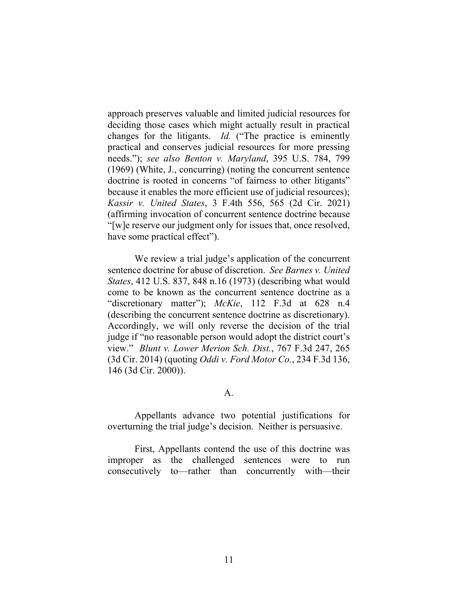approach preserves valuable and limited judicial resources for deciding those cases which might actually result in practical changes for the litigants. *Id.* ("The practice is eminently practical and conserves judicial resources for more pressing needs."); *see also Benton v. Maryland*, 395 U.S. 784, 799 (1969) (White, J., concurring) (noting the concurrent sentence doctrine is rooted in concerns "of fairness to other litigants" because it enables the more efficient use of judicial resources); *Kassir v. United States*, 3 F.4th 556, 565 (2d Cir. 2021) (affirming invocation of concurrent sentence doctrine because "[w]e reserve our judgment only for issues that, once resolved, have some practical effect").

We review a trial judge's application of the concurrent sentence doctrine for abuse of discretion. *See Barnes v. United States*, 412 U.S. 837, 848 n.16 (1973) (describing what would come to be known as the concurrent sentence doctrine as a "discretionary matter"); *McKie*, 112 F.3d at 628 n.4 (describing the concurrent sentence doctrine as discretionary). Accordingly, we will only reverse the decision of the trial judge if "no reasonable person would adopt the district court's view." *Blunt v. Lower Merion Sch. Dist.*, 767 F.3d 247, 265 (3d Cir. 2014) (quoting *Oddi v. Ford Motor Co.*, 234 F.3d 136, 146 (3d Cir. 2000)).

A.

Appellants advance two potential justifications for overturning the trial judge's decision. Neither is persuasive.

First, Appellants contend the use of this doctrine was improper as the challenged sentences were to run consecutively to—rather than concurrently with—their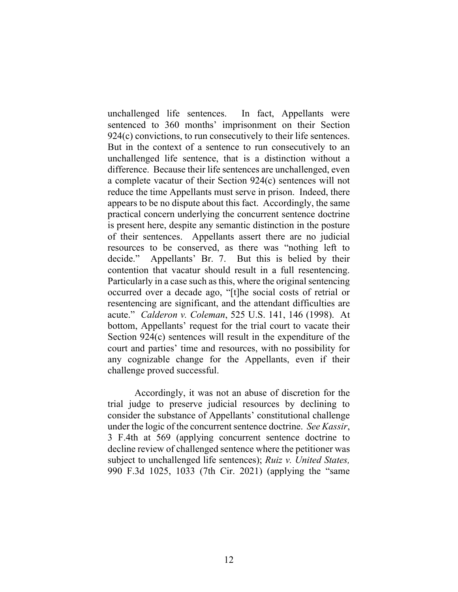unchallenged life sentences. In fact, Appellants were sentenced to 360 months' imprisonment on their Section 924(c) convictions, to run consecutively to their life sentences. But in the context of a sentence to run consecutively to an unchallenged life sentence, that is a distinction without a difference. Because their life sentences are unchallenged, even a complete vacatur of their Section 924(c) sentences will not reduce the time Appellants must serve in prison. Indeed, there appears to be no dispute about this fact. Accordingly, the same practical concern underlying the concurrent sentence doctrine is present here, despite any semantic distinction in the posture of their sentences. Appellants assert there are no judicial resources to be conserved, as there was "nothing left to decide." Appellants' Br. 7. But this is belied by their contention that vacatur should result in a full resentencing. Particularly in a case such as this, where the original sentencing occurred over a decade ago, "[t]he social costs of retrial or resentencing are significant, and the attendant difficulties are acute." *Calderon v. Coleman*, 525 U.S. 141, 146 (1998). At bottom, Appellants' request for the trial court to vacate their Section 924(c) sentences will result in the expenditure of the court and parties' time and resources, with no possibility for any cognizable change for the Appellants, even if their challenge proved successful.

Accordingly, it was not an abuse of discretion for the trial judge to preserve judicial resources by declining to consider the substance of Appellants' constitutional challenge under the logic of the concurrent sentence doctrine. *See Kassir*, 3 F.4th at 569 (applying concurrent sentence doctrine to decline review of challenged sentence where the petitioner was subject to unchallenged life sentences); *Ruiz v. United States,*  990 F.3d 1025, 1033 (7th Cir. 2021) (applying the "same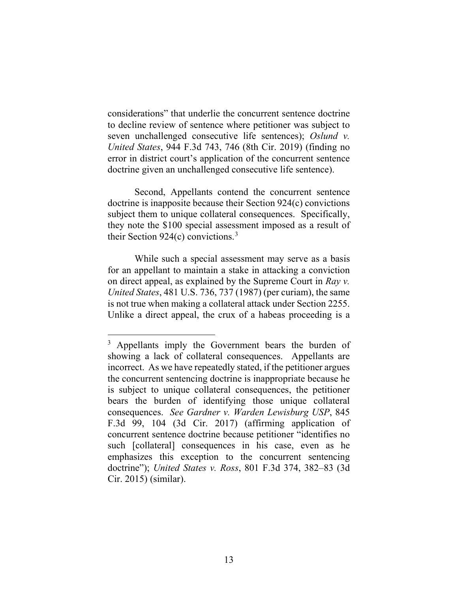considerations" that underlie the concurrent sentence doctrine to decline review of sentence where petitioner was subject to seven unchallenged consecutive life sentences); *Oslund v. United States*, 944 F.3d 743, 746 (8th Cir. 2019) (finding no error in district court's application of the concurrent sentence doctrine given an unchallenged consecutive life sentence).

Second, Appellants contend the concurrent sentence doctrine is inapposite because their Section 924(c) convictions subject them to unique collateral consequences. Specifically, they note the \$100 special assessment imposed as a result of their Section 924 $(c)$  convictions.<sup>3</sup>

While such a special assessment may serve as a basis for an appellant to maintain a stake in attacking a conviction on direct appeal, as explained by the Supreme Court in *Ray v. United States*, 481 U.S. 736, 737 (1987) (per curiam), the same is not true when making a collateral attack under Section 2255. Unlike a direct appeal, the crux of a habeas proceeding is a

<sup>3</sup> Appellants imply the Government bears the burden of showing a lack of collateral consequences. Appellants are incorrect. As we have repeatedly stated, if the petitioner argues the concurrent sentencing doctrine is inappropriate because he is subject to unique collateral consequences, the petitioner bears the burden of identifying those unique collateral consequences. *See Gardner v. Warden Lewisburg USP*, 845 F.3d 99, 104 (3d Cir. 2017) (affirming application of concurrent sentence doctrine because petitioner "identifies no such [collateral] consequences in his case, even as he emphasizes this exception to the concurrent sentencing doctrine"); *United States v. Ross*, 801 F.3d 374, 382–83 (3d Cir. 2015) (similar).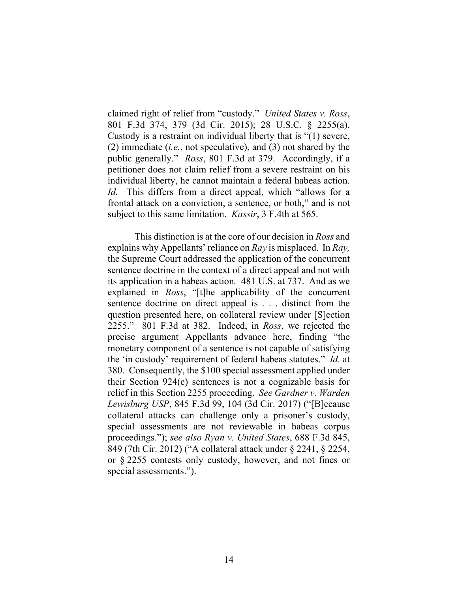claimed right of relief from "custody." *United States v. Ross*, 801 F.3d 374, 379 (3d Cir. 2015); 28 U.S.C. § 2255(a). Custody is a restraint on individual liberty that is "(1) severe, (2) immediate (*i.e.*, not speculative), and (3) not shared by the public generally." *Ross*, 801 F.3d at 379. Accordingly, if a petitioner does not claim relief from a severe restraint on his individual liberty, he cannot maintain a federal habeas action. *Id.* This differs from a direct appeal, which "allows for a frontal attack on a conviction, a sentence, or both," and is not subject to this same limitation. *Kassir*, 3 F.4th at 565.

This distinction is at the core of our decision in *Ross* and explains why Appellants' reliance on *Ray* is misplaced. In *Ray,*  the Supreme Court addressed the application of the concurrent sentence doctrine in the context of a direct appeal and not with its application in a habeas action*.* 481 U.S. at 737. And as we explained in *Ross*, "[t]he applicability of the concurrent sentence doctrine on direct appeal is . . . distinct from the question presented here, on collateral review under [S]ection 2255." 801 F.3d at 382. Indeed, in *Ross*, we rejected the precise argument Appellants advance here, finding "the monetary component of a sentence is not capable of satisfying the 'in custody' requirement of federal habeas statutes." *Id.* at 380. Consequently, the \$100 special assessment applied under their Section 924(c) sentences is not a cognizable basis for relief in this Section 2255 proceeding. *See Gardner v. Warden Lewisburg USP*, 845 F.3d 99, 104 (3d Cir. 2017) ("[B]ecause collateral attacks can challenge only a prisoner's custody, special assessments are not reviewable in habeas corpus proceedings."); *see also Ryan v. United States*, 688 F.3d 845, 849 (7th Cir. 2012) ("A collateral attack under § 2241, § 2254, or § 2255 contests only custody, however, and not fines or special assessments.").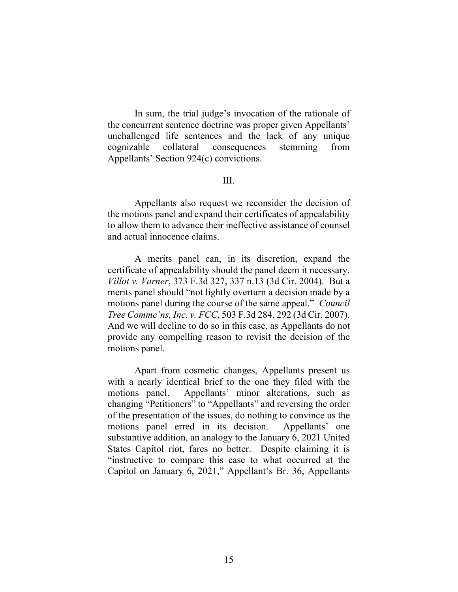In sum, the trial judge's invocation of the rationale of the concurrent sentence doctrine was proper given Appellants' unchallenged life sentences and the lack of any unique cognizable collateral consequences stemming from Appellants' Section 924(c) convictions.

### III.

Appellants also request we reconsider the decision of the motions panel and expand their certificates of appealability to allow them to advance their ineffective assistance of counsel and actual innocence claims.

A merits panel can, in its discretion, expand the certificate of appealability should the panel deem it necessary. *Villot v. Varner*, 373 F.3d 327, 337 n.13 (3d Cir. 2004). But a merits panel should "not lightly overturn a decision made by a motions panel during the course of the same appeal." *Council Tree Commc'ns, Inc. v. FCC*, 503 F.3d 284, 292 (3d Cir. 2007). And we will decline to do so in this case, as Appellants do not provide any compelling reason to revisit the decision of the motions panel.

Apart from cosmetic changes, Appellants present us with a nearly identical brief to the one they filed with the motions panel. Appellants' minor alterations, such as changing "Petitioners" to "Appellants" and reversing the order of the presentation of the issues, do nothing to convince us the motions panel erred in its decision. Appellants' one substantive addition, an analogy to the January 6, 2021 United States Capitol riot, fares no better. Despite claiming it is "instructive to compare this case to what occurred at the Capitol on January 6, 2021," Appellant's Br. 36, Appellants